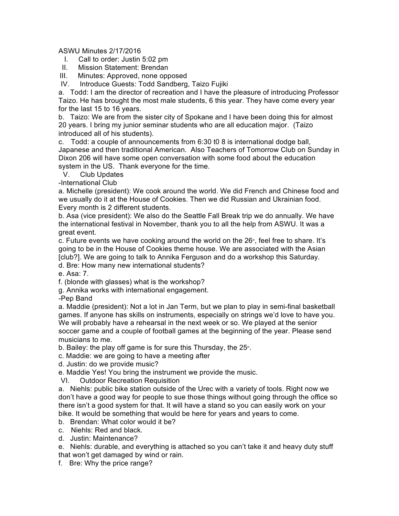## ASWU Minutes 2/17/2016

- I. Call to order: Justin 5:02 pm
- II. Mission Statement: Brendan
- III. Minutes: Approved, none opposed
- IV. Introduce Guests: Todd Sandberg, Taizo Fujiki

a. Todd: I am the director of recreation and I have the pleasure of introducing Professor Taizo. He has brought the most male students, 6 this year. They have come every year for the last 15 to 16 years.

b. Taizo: We are from the sister city of Spokane and I have been doing this for almost 20 years. I bring my junior seminar students who are all education major. (Taizo introduced all of his students).

c. Todd: a couple of announcements from 6:30 t0 8 is international dodge ball, Japanese and then traditional American. Also Teachers of Tomorrow Club on Sunday in Dixon 206 will have some open conversation with some food about the education system in the US. Thank everyone for the time.

V. Club Updates

-International Club

a. Michelle (president): We cook around the world. We did French and Chinese food and we usually do it at the House of Cookies. Then we did Russian and Ukrainian food. Every month is 2 different students.

b. Asa (vice president): We also do the Seattle Fall Break trip we do annually. We have the international festival in November, thank you to all the help from ASWU. It was a great event.

c. Future events we have cooking around the world on the  $26<sup>*</sup>$ , feel free to share. It's going to be in the House of Cookies theme house. We are associated with the Asian [club?]. We are going to talk to Annika Ferguson and do a workshop this Saturday. d. Bre: How many new international students?

e. Asa: 7.

f. (blonde with glasses) what is the workshop?

g. Annika works with international engagement.

-Pep Band

a. Maddie (president): Not a lot in Jan Term, but we plan to play in semi-final basketball games. If anyone has skills on instruments, especially on strings we'd love to have you. We will probably have a rehearsal in the next week or so. We played at the senior soccer game and a couple of football games at the beginning of the year. Please send musicians to me.

b. Bailey: the play off game is for sure this Thursday, the  $25$ <sup>th</sup>.

c. Maddie: we are going to have a meeting after

d. Justin: do we provide music?

e. Maddie Yes! You bring the instrument we provide the music.

VI. Outdoor Recreation Requisition

a. Niehls: public bike station outside of the Urec with a variety of tools. Right now we don't have a good way for people to sue those things without going through the office so there isn't a good system for that. It will have a stand so you can easily work on your bike. It would be something that would be here for years and years to come.

- b. Brendan: What color would it be?
- c. Niehls: Red and black.
- d. Justin: Maintenance?

e. Niehls: durable, and everything is attached so you can't take it and heavy duty stuff that won't get damaged by wind or rain.

f. Bre: Why the price range?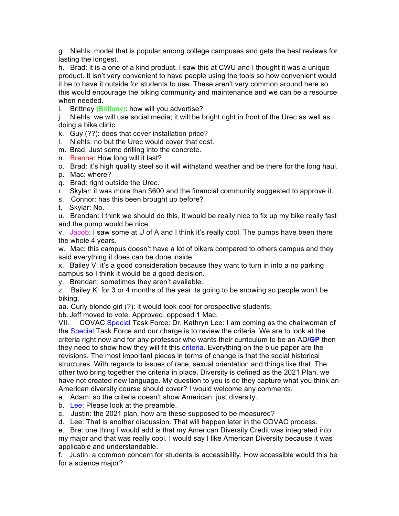g. Niehls: model that is popular among college campuses and gets the best reviews for lasting the longest.

h. Brad: it is a one of a kind product. I saw this at CWU and I thought it was a unique product. It isn't very convenient to have people using the tools so how convenient would it be to have it outside for students to use. These aren't very common around here so this would encourage the biking community and maintenance and we can be a resource when needed.

i. Brittney (Brittany): how will you advertise?

j. Niehls: we will use social media; it will be bright right in front of the Urec as well as doing a bike clinic.

k. Guy (??): does that cover installation price?

l. Niehls: no but the Urec would cover that cost.

m. Brad: Just some drilling into the concrete.

n. Brenna: How long will it last?

o. Brad: it's high quality steel so it will withstand weather and be there for the long haul.

- p. Mac: where?
- q. Brad: right outside the Urec.
- r. Skylar: it was more than \$600 and the financial community suggested to approve it.
- s. Connor: has this been brought up before?
- t. Skylar: No.

u. Brendan: I think we should do this, it would be really nice to fix up my bike really fast and the pump would be nice.

v. Jacob: I saw some at U of A and I think it's really cool. The pumps have been there the whole 4 years.

w. Mac: this campus doesn't have a lot of bikers compared to others campus and they said everything it does can be done inside.

x. Bailey V: it's a good consideration because they want to turn in into a no parking campus so I think it would be a good decision.

y. Brendan: sometimes they aren't available.

z. Bailey K: for 3 or 4 months of the year its going to be snowing so people won't be biking.

aa. Curly blonde girl (?): it would look cool for prospective students.

bb. Jeff moved to vote. Approved, opposed 1 Mac.

VII. COVAC Special Task Force: Dr. Kathryn Lee: I am coming as the chairwoman of the Special Task Force and our charge is to review the criteria. We are to look at the criteria right now and for any professor who wants their curriculum to be an AD**/GP** then they need to show how they will fit this criteria. Everything on the blue paper are the revisions. The most important pieces in terms of change is that the social historical structures. With regards to issues of race, sexual orientation and things like that. The other two bring together the criteria in place. Diversity is defined as the 2021 Plan, we have not created new language. My question to you is do they capture what you think an American diversity course should cover? I would welcome any comments.

a. Adam: so the criteria doesn't show American, just diversity.

b. Lee: Please look at the preamble.

c. Justin: the 2021 plan, how are these supposed to be measured?

d. Lee: That is another discussion. That will happen later in the COVAC process.

e. Bre: one thing I would add is that my American Diversity Credit was integrated into my major and that was really cool. I would say I like American Diversity because it was applicable and understandable.

f. Justin: a common concern for students is accessibility. How accessible would this be for a science major?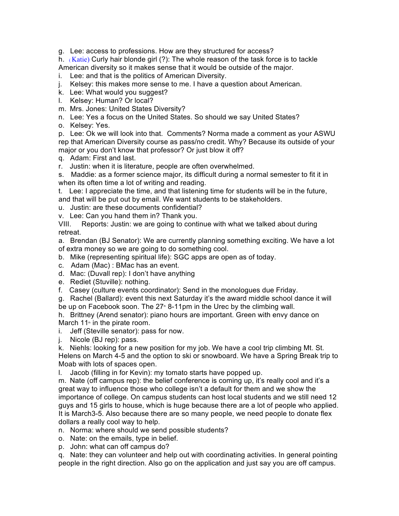g. Lee: access to professions. How are they structured for access?

h. (Katie) Curly hair blonde girl (?): The whole reason of the task force is to tackle American diversity so it makes sense that it would be outside of the major.

- i. Lee: and that is the politics of American Diversity.
- j. Kelsey: this makes more sense to me. I have a question about American.
- k. Lee: What would you suggest?
- l. Kelsey: Human? Or local?
- m. Mrs. Jones: United States Diversity?
- n. Lee: Yes a focus on the United States. So should we say United States?
- o. Kelsey: Yes.

p. Lee: Ok we will look into that. Comments? Norma made a comment as your ASWU rep that American Diversity course as pass/no credit. Why? Because its outside of your major or you don't know that professor? Or just blow it off?

q. Adam: First and last.

r. Justin: when it is literature, people are often overwhelmed.

s. Maddie: as a former science major, its difficult during a normal semester to fit it in when its often time a lot of writing and reading.

t. Lee: I appreciate the time, and that listening time for students will be in the future, and that will be put out by email. We want students to be stakeholders.

- u. Justin: are these documents confidential?
- v. Lee: Can you hand them in? Thank you.

VIII. Reports: Justin: we are going to continue with what we talked about during retreat.

a. Brendan (BJ Senator): We are currently planning something exciting. We have a lot of extra money so we are going to do something cool.

b. Mike (representing spiritual life): SGC apps are open as of today.

- c. Adam (Mac) : BMac has an event.
- d. Mac: (Duvall rep): I don't have anything
- e. Rediet (Stuville): nothing.
- f. Casey (culture events coordinator): Send in the monologues due Friday.

g. Rachel (Ballard): event this next Saturday it's the award middle school dance it will be up on Facebook soon. The  $27^{\circ}$  8-11pm in the Urec by the climbing wall.

h. Brittney (Arend senator): piano hours are important. Green with envy dance on March 11<sup>th</sup> in the pirate room.

i. Jeff (Steville senator): pass for now.

j. Nicole (BJ rep): pass.

k. Niehls: looking for a new position for my job. We have a cool trip climbing Mt. St. Helens on March 4-5 and the option to ski or snowboard. We have a Spring Break trip to Moab with lots of spaces open.

l. Jacob (filling in for Kevin): my tomato starts have popped up.

m. Nate (off campus rep): the belief conference is coming up, it's really cool and it's a great way to influence those who college isn't a default for them and we show the importance of college. On campus students can host local students and we still need 12 guys and 15 girls to house, which is huge because there are a lot of people who applied. It is March3-5. Also because there are so many people, we need people to donate flex dollars a really cool way to help.

- n. Norma: where should we send possible students?
- o. Nate: on the emails, type in belief.
- p. John: what can off campus do?

q. Nate: they can volunteer and help out with coordinating activities. In general pointing people in the right direction. Also go on the application and just say you are off campus.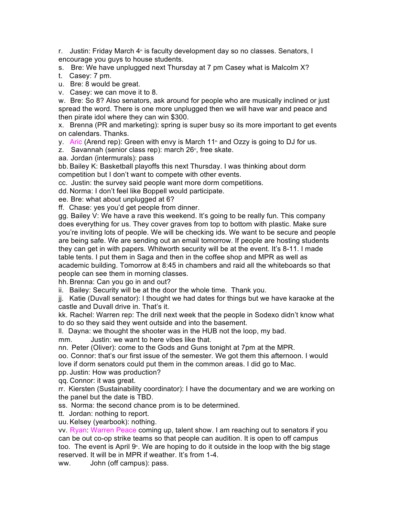r. Justin: Friday March 4<sup>th</sup> is faculty development day so no classes. Senators, I encourage you guys to house students.

s. Bre: We have unplugged next Thursday at 7 pm Casey what is Malcolm X?

t. Casey: 7 pm.

u. Bre: 8 would be great.

v. Casey: we can move it to 8.

w. Bre: So 8? Also senators, ask around for people who are musically inclined or just spread the word. There is one more unplugged then we will have war and peace and then pirate idol where they can win \$300.

x. Brenna (PR and marketing): spring is super busy so its more important to get events on calendars. Thanks.

y. Aric (Arend rep): Green with envy is March 11<sup>th</sup> and Ozzy is going to DJ for us.

z. Savannah (senior class rep): march  $26<sup>th</sup>$ , free skate.

aa. Jordan (intermurals): pass

bb. Bailey K: Basketball playoffs this next Thursday. I was thinking about dorm competition but I don't want to compete with other events.

cc. Justin: the survey said people want more dorm competitions.

dd. Norma: I don't feel like Boppell would participate.

ee. Bre: what about unplugged at 6?

ff. Chase: yes you'd get people from dinner.

gg. Bailey V: We have a rave this weekend. It's going to be really fun. This company does everything for us. They cover graves from top to bottom with plastic. Make sure you're inviting lots of people. We will be checking ids. We want to be secure and people are being safe. We are sending out an email tomorrow. If people are hosting students they can get in with papers. Whitworth security will be at the event. It's 8-11. I made table tents. I put them in Saga and then in the coffee shop and MPR as well as academic building. Tomorrow at 8:45 in chambers and raid all the whiteboards so that people can see them in morning classes.

hh. Brenna: Can you go in and out?

ii. Bailey: Security will be at the door the whole time. Thank you.

jj. Katie (Duvall senator): I thought we had dates for things but we have karaoke at the castle and Duvall drive in. That's it.

kk. Rachel: Warren rep: The drill next week that the people in Sodexo didn't know what to do so they said they went outside and into the basement.

ll. Dayna: we thought the shooter was in the HUB not the loop, my bad.

mm. Justin: we want to here vibes like that.

nn. Peter (Oliver): come to the Gods and Guns tonight at 7pm at the MPR.

oo. Connor: that's our first issue of the semester. We got them this afternoon. I would love if dorm senators could put them in the common areas. I did go to Mac.

pp. Justin: How was production?

qq. Connor: it was great.

rr. Kiersten (Sustainability coordinator): I have the documentary and we are working on the panel but the date is TBD.

ss. Norma: the second chance prom is to be determined.

tt. Jordan: nothing to report.

uu. Kelsey (yearbook): nothing.

vv. Ryan: Warren Peace coming up, talent show. I am reaching out to senators if you can be out co-op strike teams so that people can audition. It is open to off campus too. The event is April  $9$ . We are hoping to do it outside in the loop with the big stage reserved. It will be in MPR if weather. It's from 1-4.

ww. John (off campus): pass.